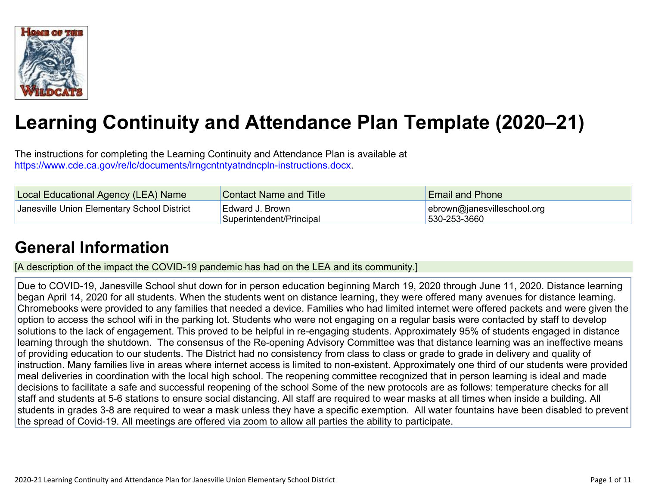

# **Learning Continuity and Attendance Plan Template (2020–21)**

The instructions for completing the Learning Continuity and Attendance Plan is available at <https://www.cde.ca.gov/re/lc/documents/lrngcntntyatndncpln-instructions.docx>.

| Local Educational Agency (LEA) Name         | <b>Contact Name and Title</b>               | <b>Email and Phone</b>                      |
|---------------------------------------------|---------------------------------------------|---------------------------------------------|
| Janesville Union Elementary School District | Edward J. Brown<br>Superintendent/Principal | ebrown@janesvilleschool.org<br>530-253-3660 |

### **General [Information](http://www.doc-tracking.com/screenshots/20LCP/Instructions/20LCPInstructions.htm#generalinformation)**

[A description of the impact the COVID-19 pandemic has had on the LEA and its community.]

Due to COVID-19, Janesville School shut down for in person education beginning March 19, 2020 through June 11, 2020. Distance learning began April 14, 2020 for all students. When the students went on distance learning, they were offered many avenues for distance learning. Chromebooks were provided to any families that needed a device. Families who had limited internet were offered packets and were given the option to access the school wifi in the parking lot. Students who were not engaging on a regular basis were contacted by staff to develop solutions to the lack of engagement. This proved to be helpful in re-engaging students. Approximately 95% of students engaged in distance learning through the shutdown. The consensus of the Re-opening Advisory Committee was that distance learning was an ineffective means of providing education to our students. The District had no consistency from class to class or grade to grade in delivery and quality of instruction. Many families live in areas where internet access is limited to non-existent. Approximately one third of our students were provided meal deliveries in coordination with the local high school. The reopening committee recognized that in person learning is ideal and made decisions to facilitate a safe and successful reopening of the school Some of the new protocols are as follows: temperature checks for all staff and students at 5-6 stations to ensure social distancing. All staff are required to wear masks at all times when inside a building. All students in grades 3-8 are required to wear a mask unless they have a specific exemption. All water fountains have been disabled to prevent the spread of Covid-19. All meetings are offered via zoom to allow all parties the ability to participate.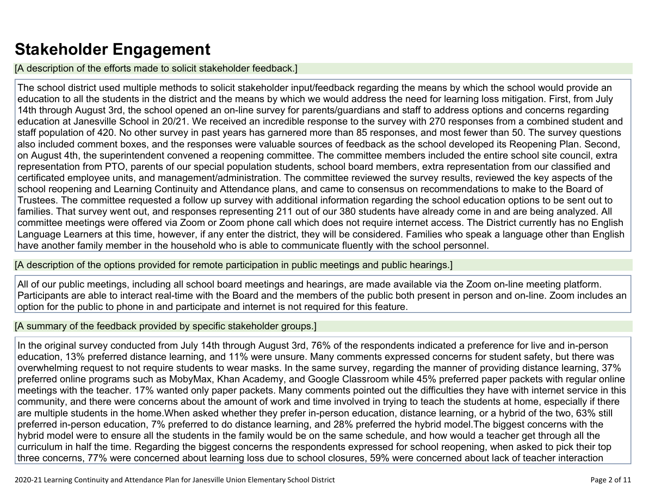### **Stakeholder [Engagement](http://www.doc-tracking.com/screenshots/20LCP/Instructions/20LCPInstructions.htm#stakeholderengagement)**

[A description of the efforts made to solicit stakeholder feedback.]

The school district used multiple methods to solicit stakeholder input/feedback regarding the means by which the school would provide an education to all the students in the district and the means by which we would address the need for learning loss mitigation. First, from July 14th through August 3rd, the school opened an on-line survey for parents/guardians and staff to address options and concerns regarding education at Janesville School in 20/21. We received an incredible response to the survey with 270 responses from a combined student and staff population of 420. No other survey in past years has garnered more than 85 responses, and most fewer than 50. The survey questions also included comment boxes, and the responses were valuable sources of feedback as the school developed its Reopening Plan. Second, on August 4th, the superintendent convened a reopening committee. The committee members included the entire school site council, extra representation from PTO, parents of our special population students, school board members, extra representation from our classified and certificated employee units, and management/administration. The committee reviewed the survey results, reviewed the key aspects of the school reopening and Learning Continuity and Attendance plans, and came to consensus on recommendations to make to the Board of Trustees. The committee requested a follow up survey with additional information regarding the school education options to be sent out to families. That survey went out, and responses representing 211 out of our 380 students have already come in and are being analyzed. All committee meetings were offered via Zoom or Zoom phone call which does not require internet access. The District currently has no English Language Learners at this time, however, if any enter the district, they will be considered. Families who speak a language other than English have another family member in the household who is able to communicate fluently with the school personnel.

[A description of the options provided for remote participation in public meetings and public hearings.]

All of our public meetings, including all school board meetings and hearings, are made available via the Zoom on-line meeting platform. Participants are able to interact real-time with the Board and the members of the public both present in person and on-line. Zoom includes an option for the public to phone in and participate and internet is not required for this feature.

#### [A summary of the feedback provided by specific stakeholder groups.]

In the original survey conducted from July 14th through August 3rd, 76% of the respondents indicated a preference for live and in-person education, 13% preferred distance learning, and 11% were unsure. Many comments expressed concerns for student safety, but there was overwhelming request to not require students to wear masks. In the same survey, regarding the manner of providing distance learning, 37% preferred online programs such as MobyMax, Khan Academy, and Google Classroom while 45% preferred paper packets with regular online meetings with the teacher. 17% wanted only paper packets. Many comments pointed out the difficulties they have with internet service in this community, and there were concerns about the amount of work and time involved in trying to teach the students at home, especially if there are multiple students in the home.When asked whether they prefer in-person education, distance learning, or a hybrid of the two, 63% still preferred in-person education, 7% preferred to do distance learning, and 28% preferred the hybrid model.The biggest concerns with the hybrid model were to ensure all the students in the family would be on the same schedule, and how would a teacher get through all the curriculum in half the time. Regarding the biggest concerns the respondents expressed for school reopening, when asked to pick their top three concerns, 77% were concerned about learning loss due to school closures, 59% were concerned about lack of teacher interaction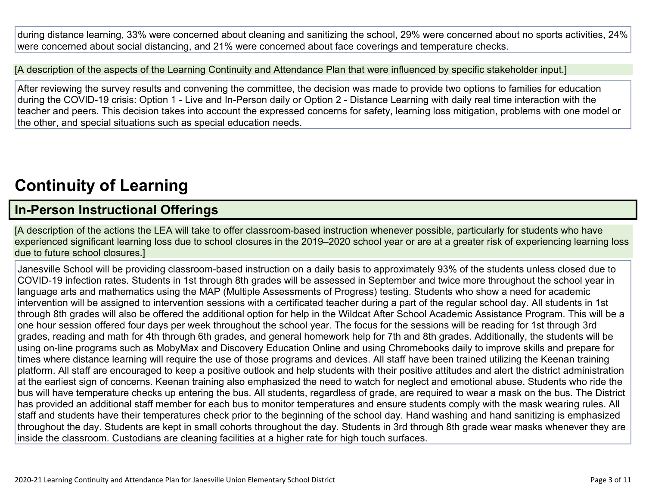during distance learning, 33% were concerned about cleaning and sanitizing the school, 29% were concerned about no sports activities, 24% were concerned about social distancing, and 21% were concerned about face coverings and temperature checks.

[A description of the aspects of the Learning Continuity and Attendance Plan that were influenced by specific stakeholder input.]

After reviewing the survey results and convening the committee, the decision was made to provide two options to families for education during the COVID-19 crisis: Option 1 - Live and In-Person daily or Option 2 - Distance Learning with daily real time interaction with the teacher and peers. This decision takes into account the expressed concerns for safety, learning loss mitigation, problems with one model or the other, and special situations such as special education needs.

## **[Continuity](http://www.doc-tracking.com/screenshots/20LCP/Instructions/20LCPInstructions.htm#ContinuityofLearning) of Learnin[g](http://www.doc-tracking.com/screenshots/20LCP/Instructions/20LCPInstructions.htm#ContinuityofLearning)**

#### **In-Person [Instructional](http://www.doc-tracking.com/screenshots/20LCP/Instructions/20LCPInstructions.htm#ContinuityofLearning1) Offerings**

[A description of the actions the LEA will take to offer classroom-based instruction whenever possible, particularly for students who have experienced significant learning loss due to school closures in the 2019–2020 school year or are at a greater risk of experiencing learning loss due to future school closures.]

Janesville School will be providing classroom-based instruction on a daily basis to approximately 93% of the students unless closed due to COVID-19 infection rates. Students in 1st through 8th grades will be assessed in September and twice more throughout the school year in language arts and mathematics using the MAP (Multiple Assessments of Progress) testing. Students who show a need for academic intervention will be assigned to intervention sessions with a certificated teacher during a part of the regular school day. All students in 1st through 8th grades will also be offered the additional option for help in the Wildcat After School Academic Assistance Program. This will be a one hour session offered four days per week throughout the school year. The focus for the sessions will be reading for 1st through 3rd grades, reading and math for 4th through 6th grades, and general homework help for 7th and 8th grades. Additionally, the students will be using on-line programs such as MobyMax and Discovery Education Online and using Chromebooks daily to improve skills and prepare for times where distance learning will require the use of those programs and devices. All staff have been trained utilizing the Keenan training platform. All staff are encouraged to keep a positive outlook and help students with their positive attitudes and alert the district administration at the earliest sign of concerns. Keenan training also emphasized the need to watch for neglect and emotional abuse. Students who ride the bus will have temperature checks up entering the bus. All students, regardless of grade, are required to wear a mask on the bus. The District has provided an additional staff member for each bus to monitor temperatures and ensure students comply with the mask wearing rules. All staff and students have their temperatures check prior to the beginning of the school day. Hand washing and hand sanitizing is emphasized throughout the day. Students are kept in small cohorts throughout the day. Students in 3rd through 8th grade wear masks whenever they are inside the classroom. Custodians are cleaning facilities at a higher rate for high touch surfaces.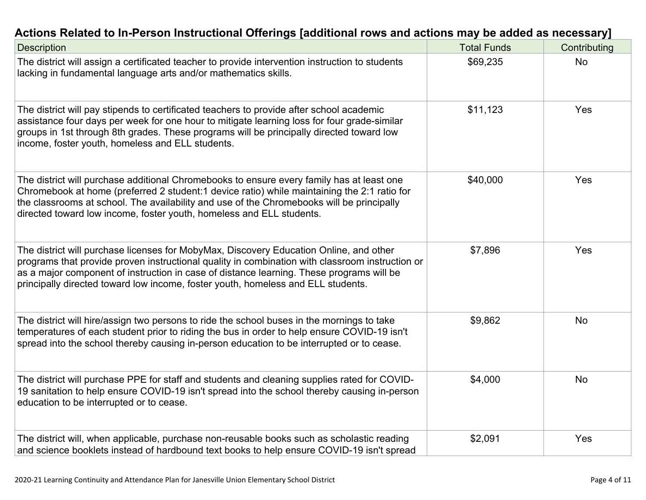| Actions Related to In-Person Instructional Offerings [additional rows and actions may be added as necessary]                                                                                                                                                                                                                                                                                                                 |                    |              |
|------------------------------------------------------------------------------------------------------------------------------------------------------------------------------------------------------------------------------------------------------------------------------------------------------------------------------------------------------------------------------------------------------------------------------|--------------------|--------------|
| <b>Description</b>                                                                                                                                                                                                                                                                                                                                                                                                           | <b>Total Funds</b> | Contributing |
| The district will assign a certificated teacher to provide intervention instruction to students<br>lacking in fundamental language arts and/or mathematics skills.                                                                                                                                                                                                                                                           | \$69,235           | No.          |
| The district will pay stipends to certificated teachers to provide after school academic<br>assistance four days per week for one hour to mitigate learning loss for four grade-similar<br>$\mathbf{r}$ , and the contract of the contract of the contract of the contract of the contract of the contract of the contract of the contract of the contract of the contract of the contract of the contract of the contract o | \$11,123           | Yes          |

| The district will pay stipends to certificated teachers to provide after school academic<br>assistance four days per week for one hour to mitigate learning loss for four grade-similar<br>groups in 1st through 8th grades. These programs will be principally directed toward low<br>income, foster youth, homeless and ELL students.                                   | \$11,123 | <b>res</b> |
|---------------------------------------------------------------------------------------------------------------------------------------------------------------------------------------------------------------------------------------------------------------------------------------------------------------------------------------------------------------------------|----------|------------|
| The district will purchase additional Chromebooks to ensure every family has at least one<br>Chromebook at home (preferred 2 student:1 device ratio) while maintaining the 2:1 ratio for<br>the classrooms at school. The availability and use of the Chromebooks will be principally<br>directed toward low income, foster youth, homeless and ELL students.             | \$40,000 | <b>Yes</b> |
| The district will purchase licenses for MobyMax, Discovery Education Online, and other<br>programs that provide proven instructional quality in combination with classroom instruction or<br>as a major component of instruction in case of distance learning. These programs will be<br>principally directed toward low income, foster youth, homeless and ELL students. | \$7,896  | <b>Yes</b> |
| The district will hire/assign two persons to ride the school buses in the mornings to take<br>temperatures of each student prior to riding the bus in order to help ensure COVID-19 isn't<br>spread into the school thereby causing in-person education to be interrupted or to cease.                                                                                    | \$9,862  | <b>No</b>  |
| The district will purchase PPE for staff and students and cleaning supplies rated for COVID-<br>19 sanitation to help ensure COVID-19 isn't spread into the school thereby causing in-person<br>education to be interrupted or to cease.                                                                                                                                  | \$4,000  | <b>No</b>  |
| The district will, when applicable, purchase non-reusable books such as scholastic reading<br>and science booklets instead of hardbound text books to help ensure COVID-19 isn't spread                                                                                                                                                                                   | \$2,091  | Yes        |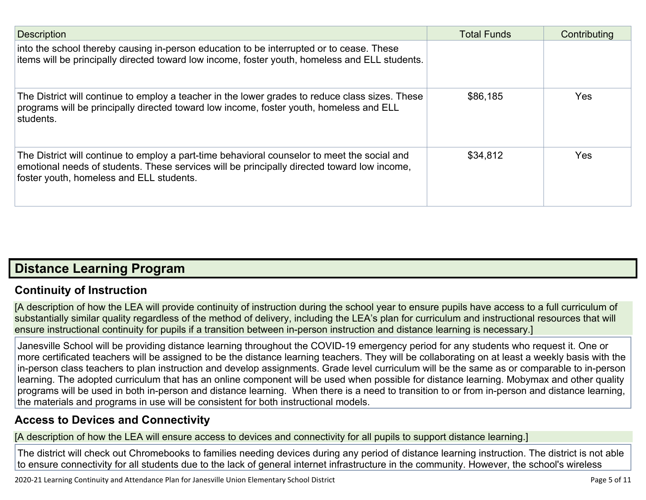| <b>Description</b>                                                                                                                                                                                                                      | <b>Total Funds</b> | Contributing |
|-----------------------------------------------------------------------------------------------------------------------------------------------------------------------------------------------------------------------------------------|--------------------|--------------|
| into the school thereby causing in-person education to be interrupted or to cease. These<br>items will be principally directed toward low income, foster youth, homeless and ELL students.                                              |                    |              |
| The District will continue to employ a teacher in the lower grades to reduce class sizes. These<br>programs will be principally directed toward low income, foster youth, homeless and ELL<br>students.                                 | \$86,185           | <b>Yes</b>   |
| The District will continue to employ a part-time behavioral counselor to meet the social and<br>emotional needs of students. These services will be principally directed toward low income,<br>foster youth, homeless and ELL students. | \$34,812           | <b>Yes</b>   |

#### **Distance [Learning](http://www.doc-tracking.com/screenshots/20LCP/Instructions/20LCPInstructions.htm#DistanceLearningProgram) Program**

#### **Continuity of [Instruction](http://www.doc-tracking.com/screenshots/20LCP/Instructions/20LCPInstructions.htm#DistanceLearningProgram1)**

[A description of how the LEA will provide continuity of instruction during the school year to ensure pupils have access to a full curriculum of substantially similar quality regardless of the method of delivery, including the LEA's plan for curriculum and instructional resources that will ensure instructional continuity for pupils if a transition between in-person instruction and distance learning is necessary.]

Janesville School will be providing distance learning throughout the COVID-19 emergency period for any students who request it. One or more certificated teachers will be assigned to be the distance learning teachers. They will be collaborating on at least a weekly basis with the in-person class teachers to plan instruction and develop assignments. Grade level curriculum will be the same as or comparable to in-person learning. The adopted curriculum that has an online component will be used when possible for distance learning. Mobymax and other quality programs will be used in both in-person and distance learning. When there is a need to transition to or from in-person and distance learning, the materials and programs in use will be consistent for both instructional models.

#### **Access to Devices and [Connectivity](http://www.doc-tracking.com/screenshots/20LCP/Instructions/20LCPInstructions.htm#DistanceLearningProgram2)**

[A description of how the LEA will ensure access to devices and connectivity for all pupils to support distance learning.]

The district will check out Chromebooks to families needing devices during any period of distance learning instruction. The district is not able to ensure connectivity for all students due to the lack of general internet infrastructure in the community. However, the school's wireless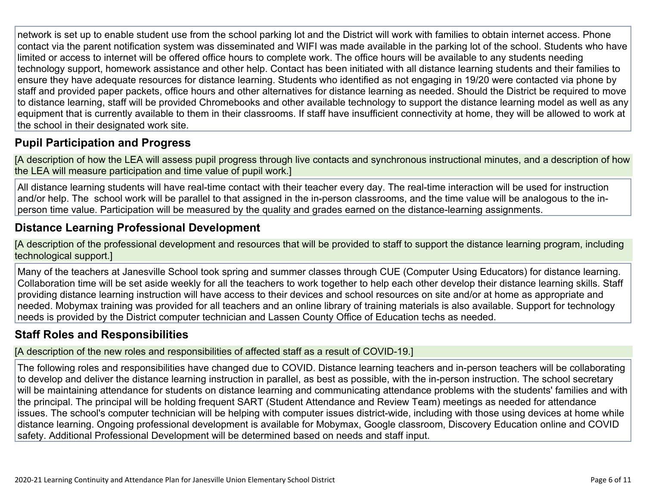network is set up to enable student use from the school parking lot and the District will work with families to obtain internet access. Phone contact via the parent notification system was disseminated and WIFI was made available in the parking lot of the school. Students who have limited or access to internet will be offered office hours to complete work. The office hours will be available to any students needing technology support, homework assistance and other help. Contact has been initiated with all distance learning students and their families to ensure they have adequate resources for distance learning. Students who identified as not engaging in 19/20 were contacted via phone by staff and provided paper packets, office hours and other alternatives for distance learning as needed. Should the District be required to move to distance learning, staff will be provided Chromebooks and other available technology to support the distance learning model as well as any equipment that is currently available to them in their classrooms. If staff have insufficient connectivity at home, they will be allowed to work at the school in their designated work site.

#### **Pupil [Participation](http://www.doc-tracking.com/screenshots/20LCP/Instructions/20LCPInstructions.htm#DistanceLearningProgram3) and Progress**

[A description of how the LEA will assess pupil progress through live contacts and synchronous instructional minutes, and a description of how the LEA will measure participation and time value of pupil work.]

All distance learning students will have real-time contact with their teacher every day. The real-time interaction will be used for instruction and/or help. The school work will be parallel to that assigned in the in-person classrooms, and the time value will be analogous to the inperson time value. Participation will be measured by the quality and grades earned on the distance-learning assignments.

#### **Distance Learning Professional [Development](http://www.doc-tracking.com/screenshots/20LCP/Instructions/20LCPInstructions.htm#DistanceLearningProgram4)**

[A description of the professional development and resources that will be provided to staff to support the distance learning program, including technological support.]

Many of the teachers at Janesville School took spring and summer classes through CUE (Computer Using Educators) for distance learning. Collaboration time will be set aside weekly for all the teachers to work together to help each other develop their distance learning skills. Staff providing distance learning instruction will have access to their devices and school resources on site and/or at home as appropriate and needed. Mobymax training was provided for all teachers and an online library of training materials is also available. Support for technology needs is provided by the District computer technician and Lassen County Office of Education techs as needed.

#### **Staff Roles and [Responsibilities](http://www.doc-tracking.com/screenshots/20LCP/Instructions/20LCPInstructions.htm#DistanceLearningProgram5)**

[A description of the new roles and responsibilities of affected staff as a result of COVID-19.]

The following roles and responsibilities have changed due to COVID. Distance learning teachers and in-person teachers will be collaborating to develop and deliver the distance learning instruction in parallel, as best as possible, with the in-person instruction. The school secretary will be maintaining attendance for students on distance learning and communicating attendance problems with the students' families and with the principal. The principal will be holding frequent SART (Student Attendance and Review Team) meetings as needed for attendance issues. The school's computer technician will be helping with computer issues district-wide, including with those using devices at home while distance learning. Ongoing professional development is available for Mobymax, Google classroom, Discovery Education online and COVID safety. Additional Professional Development will be determined based on needs and staff input.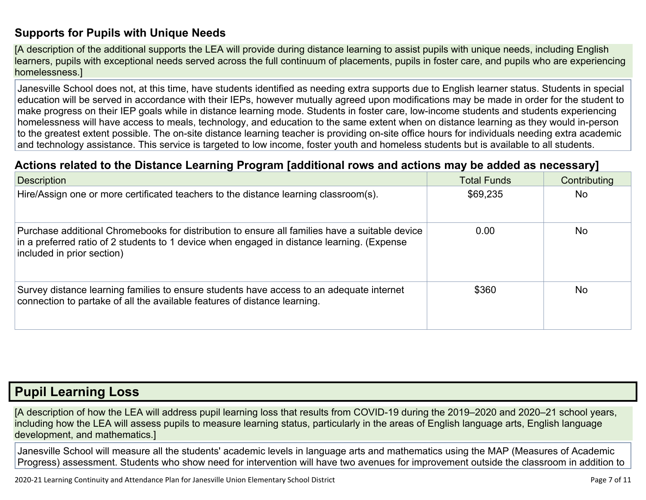#### **[Supports](http://www.doc-tracking.com/screenshots/20LCP/Instructions/20LCPInstructions.htm#DistanceLearningProgram6) for Pupils with Unique Needs**

[A description of the additional supports the LEA will provide during distance learning to assist pupils with unique needs, including English learners, pupils with exceptional needs served across the full continuum of placements, pupils in foster care, and pupils who are experiencing homelessness.]

Janesville School does not, at this time, have students identified as needing extra supports due to English learner status. Students in special education will be served in accordance with their IEPs, however mutually agreed upon modifications may be made in order for the student to make progress on their IEP goals while in distance learning mode. Students in foster care, low-income students and students experiencing homelessness will have access to meals, technology, and education to the same extent when on distance learning as they would in-person to the greatest extent possible. The on-site distance learning teacher is providing on-site office hours for individuals needing extra academic and technology assistance. This service is targeted to low income, foster youth and homeless students but is available to all students.

#### **Actions related to the Distance Learning Program [additional rows and actions may be added as [necessary\]](http://www.doc-tracking.com/screenshots/20LCP/Instructions/20LCPInstructions.htm#DistanceLearningProgram7)**

| <b>Description</b>                                                                                                                                                                                                         | <b>Total Funds</b> | Contributing   |
|----------------------------------------------------------------------------------------------------------------------------------------------------------------------------------------------------------------------------|--------------------|----------------|
| Hire/Assign one or more certificated teachers to the distance learning classroom(s).                                                                                                                                       | \$69,235           | N <sub>o</sub> |
| Purchase additional Chromebooks for distribution to ensure all families have a suitable device<br>in a preferred ratio of 2 students to 1 device when engaged in distance learning. (Expense<br>included in prior section) | 0.00               | <b>No</b>      |
| Survey distance learning families to ensure students have access to an adequate internet<br>connection to partake of all the available features of distance learning.                                                      | \$360              | <b>No</b>      |

#### **Pupil [Learning](http://www.doc-tracking.com/screenshots/20LCP/Instructions/20LCPInstructions.htm#PupilLearningLoss) Loss**

[A description of how the LEA will address pupil learning loss that results from COVID-19 during the 2019–2020 and 2020–21 school years, including how the LEA will assess pupils to measure learning status, particularly in the areas of English language arts, English language development, and mathematics.]

Janesville School will measure all the students' academic levels in language arts and mathematics using the MAP (Measures of Academic Progress) assessment. Students who show need for intervention will have two avenues for improvement outside the classroom in addition to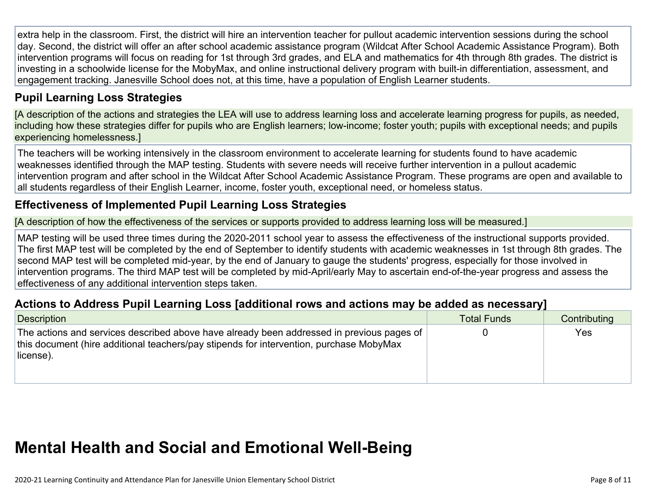extra help in the classroom. First, the district will hire an intervention teacher for pullout academic intervention sessions during the school day. Second, the district will offer an after school academic assistance program (Wildcat After School Academic Assistance Program). Both intervention programs will focus on reading for 1st through 3rd grades, and ELA and mathematics for 4th through 8th grades. The district is investing in a schoolwide license for the MobyMax, and online instructional delivery program with built-in differentiation, assessment, and engagement tracking. Janesville School does not, at this time, have a population of English Learner students.

#### **Pupil Learning Loss [Strategies](http://www.doc-tracking.com/screenshots/20LCP/Instructions/20LCPInstructions.htm#PupilLearningLoss1)**

[A description of the actions and strategies the LEA will use to address learning loss and accelerate learning progress for pupils, as needed, including how these strategies differ for pupils who are English learners; low-income; foster youth; pupils with exceptional needs; and pupils experiencing homelessness.]

The teachers will be working intensively in the classroom environment to accelerate learning for students found to have academic weaknesses identified through the MAP testing. Students with severe needs will receive further intervention in a pullout academic intervention program and after school in the Wildcat After School Academic Assistance Program. These programs are open and available to all students regardless of their English Learner, income, foster youth, exceptional need, or homeless status.

#### **[Effectiveness](http://www.doc-tracking.com/screenshots/20LCP/Instructions/20LCPInstructions.htm#PupilLearningLoss2) of Implemented Pupil Learning Loss Strategies**

[A description of how the effectiveness of the services or supports provided to address learning loss will be measured.]

MAP testing will be used three times during the 2020-2011 school year to assess the effectiveness of the instructional supports provided. The first MAP test will be completed by the end of September to identify students with academic weaknesses in 1st through 8th grades. The second MAP test will be completed mid-year, by the end of January to gauge the students' progress, especially for those involved in intervention programs. The third MAP test will be completed by mid-April/early May to ascertain end-of-the-year progress and assess the effectiveness of any additional intervention steps taken.

#### **Actions to Address Pupil Learning Loss [additional rows and actions may be added as [necessary\]](http://www.doc-tracking.com/screenshots/20LCP/Instructions/20LCPInstructions.htm#PupilLearningLoss4)**

| Description                                                                                                                                                                                       | <b>Total Funds</b> | Contributing |
|---------------------------------------------------------------------------------------------------------------------------------------------------------------------------------------------------|--------------------|--------------|
| The actions and services described above have already been addressed in previous pages of<br>this document (hire additional teachers/pay stipends for intervention, purchase MobyMax<br>license). |                    | Yes          |

## **Mental Health and Social and Emotional [Well-Being](http://www.doc-tracking.com/screenshots/20LCP/Instructions/20LCPInstructions.htm#MentalHealthandSocialandEmotional)**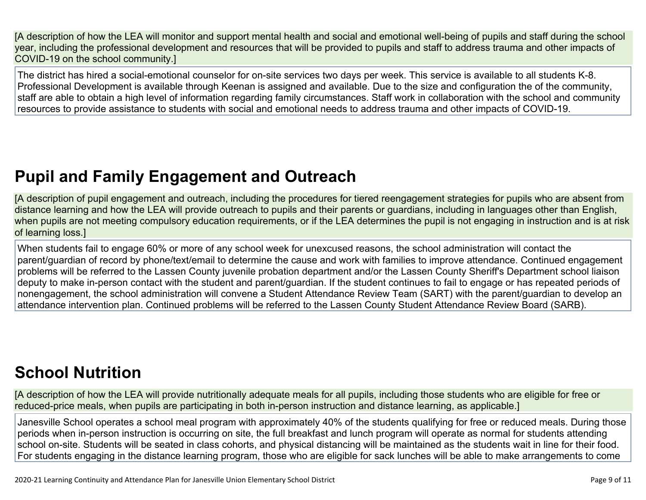[A description of how the LEA will monitor and support mental health and social and emotional well-being of pupils and staff during the school year, including the professional development and resources that will be provided to pupils and staff to address trauma and other impacts of COVID-19 on the school community.]

The district has hired a social-emotional counselor for on-site services two days per week. This service is available to all students K-8. Professional Development is available through Keenan is assigned and available. Due to the size and configuration the of the community, staff are able to obtain a high level of information regarding family circumstances. Staff work in collaboration with the school and community resources to provide assistance to students with social and emotional needs to address trauma and other impacts of COVID-19.

## **Pupil and Family [Engagement](http://www.doc-tracking.com/screenshots/20LCP/Instructions/20LCPInstructions.htm#PupilEngagementandOutreach) and Outreach**

[A description of pupil engagement and outreach, including the procedures for tiered reengagement strategies for pupils who are absent from distance learning and how the LEA will provide outreach to pupils and their parents or guardians, including in languages other than English, when pupils are not meeting compulsory education requirements, or if the LEA determines the pupil is not engaging in instruction and is at risk of learning loss.]

When students fail to engage 60% or more of any school week for unexcused reasons, the school administration will contact the parent/guardian of record by phone/text/email to determine the cause and work with families to improve attendance. Continued engagement problems will be referred to the Lassen County juvenile probation department and/or the Lassen County Sheriff's Department school liaison deputy to make in-person contact with the student and parent/guardian. If the student continues to fail to engage or has repeated periods of nonengagement, the school administration will convene a Student Attendance Review Team (SART) with the parent/guardian to develop an attendance intervention plan. Continued problems will be referred to the Lassen County Student Attendance Review Board (SARB).

## **School [Nutrition](http://www.doc-tracking.com/screenshots/20LCP/Instructions/20LCPInstructions.htm#SchoolNutrition)**

[A description of how the LEA will provide nutritionally adequate meals for all pupils, including those students who are eligible for free or reduced-price meals, when pupils are participating in both in-person instruction and distance learning, as applicable.]

Janesville School operates a school meal program with approximately 40% of the students qualifying for free or reduced meals. During those periods when in-person instruction is occurring on site, the full breakfast and lunch program will operate as normal for students attending school on-site. Students will be seated in class cohorts, and physical distancing will be maintained as the students wait in line for their food. For students engaging in the distance learning program, those who are eligible for sack lunches will be able to make arrangements to come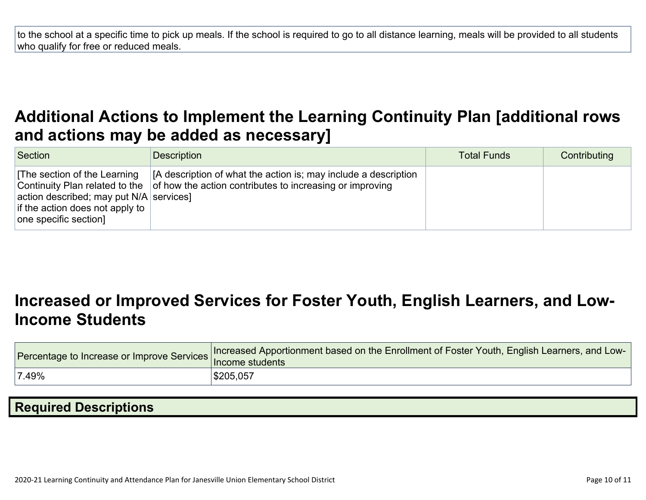to the school at a specific time to pick up meals. If the school is required to go to all distance learning, meals will be provided to all students who qualify for free or reduced meals.

### **Additional Actions to Implement the Learning Continuity Plan [\[additional](http://www.doc-tracking.com/screenshots/20LCP/Instructions/20LCPInstructions.htm#AdditionalActions) rows and actions may be added as [necessary\]](http://www.doc-tracking.com/screenshots/20LCP/Instructions/20LCPInstructions.htm#AdditionalActions)**

| Section                                                                                                                              | Description                                                                                                                                                        | <b>Total Funds</b> | Contributing |
|--------------------------------------------------------------------------------------------------------------------------------------|--------------------------------------------------------------------------------------------------------------------------------------------------------------------|--------------------|--------------|
| The section of the Learning<br>action described; may put $N/A$ services]<br>if the action does not apply to<br>one specific section] | [A description of what the action is; may include a description<br>Continuity Plan related to the $\vert$ of how the action contributes to increasing or improving |                    |              |

### **[Increased](http://www.doc-tracking.com/screenshots/20LCP/Instructions/20LCPInstructions.htm#IncreasedorImprovedServices) or Improved Services for Foster Youth, English Learners, and Low-Income [Students](http://www.doc-tracking.com/screenshots/20LCP/Instructions/20LCPInstructions.htm#IncreasedorImprovedServices)**

| Procentage to Increase or Improve Services   Income students | Increased Apportionment based on the Enrollment of Foster Youth, English Learners, and Low- |
|--------------------------------------------------------------|---------------------------------------------------------------------------------------------|
| 7.49%                                                        | \$205,057                                                                                   |

| <b>Required Descriptions</b> |  |
|------------------------------|--|